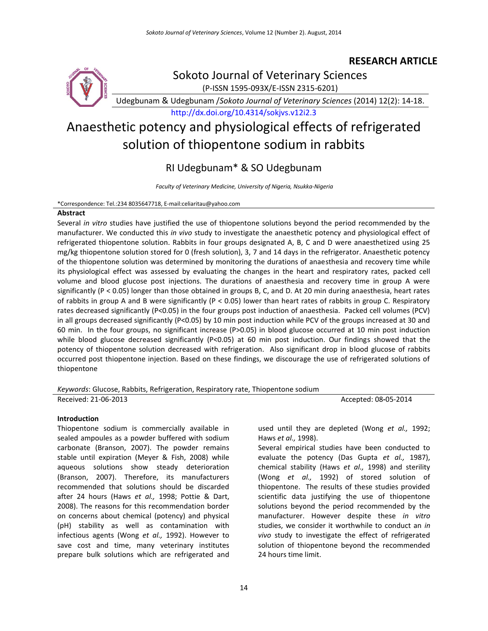### **RESEARCH ARTICLE**



Sokoto Journal of Veterinary Sciences

(P-ISSN 1595-093X/E-ISSN 2315-6201)

Udegbunam & Udegbunam /*Sokoto Journal of Veterinary Sciences* (2014) 12(2): 14-18.

<http://dx.doi.org/10.4314/sokjvs.v12i2.3>

# Anaesthetic potency and physiological effects of refrigerated solution of thiopentone sodium in rabbits

## RI Udegbunam\* & SO Udegbunam

*Faculty of Veterinary Medicine, University of Nigeria, Nsukka-Nigeria*

#### \*Correspondence: Tel.:234 8035647718, E-mail:celiaritau@yahoo.com

#### **Abstract**

Several *in vitro* studies have justified the use of thiopentone solutions beyond the period recommended by the manufacturer. We conducted this *in vivo* study to investigate the anaesthetic potency and physiological effect of refrigerated thiopentone solution. Rabbits in four groups designated A, B, C and D were anaesthetized using 25 mg/kg thiopentone solution stored for 0 (fresh solution), 3, 7 and 14 days in the refrigerator. Anaesthetic potency of the thiopentone solution was determined by monitoring the durations of anaesthesia and recovery time while its physiological effect was assessed by evaluating the changes in the heart and respiratory rates, packed cell volume and blood glucose post injections. The durations of anaesthesia and recovery time in group A were significantly (P < 0.05) longer than those obtained in groups B, C, and D. At 20 min during anaesthesia, heart rates of rabbits in group A and B were significantly (P < 0.05) lower than heart rates of rabbits in group C. Respiratory rates decreased significantly (P<0.05) in the four groups post induction of anaesthesia. Packed cell volumes (PCV) in all groups decreased significantly (P<0.05) by 10 min post induction while PCV of the groups increased at 30 and 60 min. In the four groups, no significant increase (P>0.05) in blood glucose occurred at 10 min post induction while blood glucose decreased significantly (P<0.05) at 60 min post induction. Our findings showed that the potency of thiopentone solution decreased with refrigeration. Also significant drop in blood glucose of rabbits occurred post thiopentone injection. Based on these findings, we discourage the use of refrigerated solutions of thiopentone

#### *Keywords*: Glucose, Rabbits, Refrigeration, Respiratory rate, Thiopentone sodium

#### **Introduction**

Thiopentone sodium is commercially available in sealed ampoules as a powder buffered with sodium carbonate (Branson, 2007). The powder remains stable until expiration (Meyer & Fish, 2008) while aqueous solutions show steady deterioration (Branson, 2007). Therefore, its manufacturers recommended that solutions should be discarded after 24 hours (Haws *et al.,* 1998; Pottie & Dart, 2008). The reasons for this recommendation border on concerns about chemical (potency) and physical (pH) stability as well as contamination with infectious agents (Wong *et al.,* 1992). However to save cost and time, many veterinary institutes prepare bulk solutions which are refrigerated and

Received: 21-06-2013 Accepted: 08**-**05-2014

used until they are depleted (Wong *et al.,* 1992; Haws *et al.,* 1998).

Several empirical studies have been conducted to evaluate the potency (Das Gupta *et al.,* 1987), chemical stability (Haws *et al.,* 1998) and sterility (Wong *et al.,* 1992) of stored solution of thiopentone. The results of these studies provided scientific data justifying the use of thiopentone solutions beyond the period recommended by the manufacturer. However despite these *in vitro* studies, we consider it worthwhile to conduct an *in vivo* study to investigate the effect of refrigerated solution of thiopentone beyond the recommended 24 hours time limit.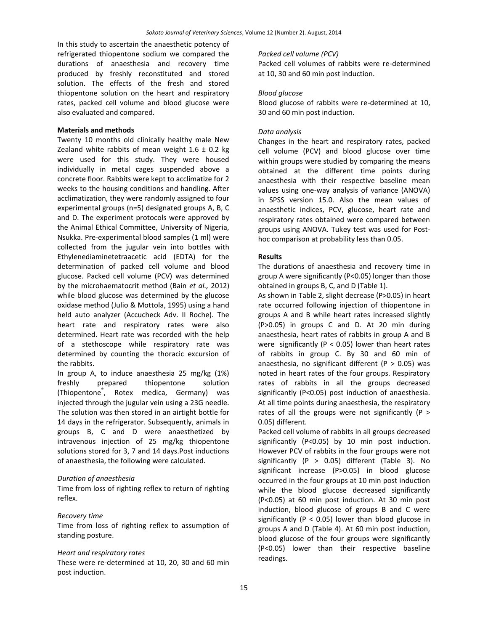In this study to ascertain the anaesthetic potency of refrigerated thiopentone sodium we compared the durations of anaesthesia and recovery time produced by freshly reconstituted and stored solution. The effects of the fresh and stored thiopentone solution on the heart and respiratory rates, packed cell volume and blood glucose were also evaluated and compared.

#### **Materials and methods**

Twenty 10 months old clinically healthy male New Zealand white rabbits of mean weight  $1.6 \pm 0.2$  kg were used for this study. They were housed individually in metal cages suspended above a concrete floor. Rabbits were kept to acclimatize for 2 weeks to the housing conditions and handling. After acclimatization, they were randomly assigned to four experimental groups (n=5) designated groups A, B, C and D. The experiment protocols were approved by the Animal Ethical Committee, University of Nigeria, Nsukka. Pre-experimental blood samples (1 ml) were collected from the jugular vein into bottles with Ethylenediaminetetraacetic acid (EDTA) for the determination of packed cell volume and blood glucose. Packed cell volume (PCV) was determined by the microhaematocrit method (Bain *et al.,* 2012) while blood glucose was determined by the glucose oxidase method (Julio & Mottola, 1995) using a hand held auto analyzer (Accucheck Adv. II Roche). The heart rate and respiratory rates were also determined. Heart rate was recorded with the help of a stethoscope while respiratory rate was determined by counting the thoracic excursion of the rabbits.

In group A, to induce anaesthesia 25 mg/kg (1%) freshly prepared thiopentone solution (Thiopentone® , Rotex medica, Germany) was injected through the jugular vein using a 23G needle. The solution was then stored in an airtight bottle for 14 days in the refrigerator. Subsequently, animals in groups B, C and D were anaesthetized by intravenous injection of 25 mg/kg thiopentone solutions stored for 3, 7 and 14 days.Post inductions of anaesthesia, the following were calculated.

#### *Duration of anaesthesia*

Time from loss of righting reflex to return of righting reflex.

#### *Recovery time*

Time from loss of righting reflex to assumption of standing posture.

#### *Heart and respiratory rates*

These were re-determined at 10, 20, 30 and 60 min post induction.

#### *Packed cell volume (PCV)*

Packed cell volumes of rabbits were re-determined at 10, 30 and 60 min post induction.

#### *Blood glucose*

Blood glucose of rabbits were re-determined at 10, 30 and 60 min post induction.

#### *Data analysis*

Changes in the heart and respiratory rates, packed cell volume (PCV) and blood glucose over time within groups were studied by comparing the means obtained at the different time points during anaesthesia with their respective baseline mean values using one-way analysis of variance (ANOVA) in SPSS version 15.0. Also the mean values of anaesthetic indices, PCV, glucose, heart rate and respiratory rates obtained were compared between groups using ANOVA. Tukey test was used for Posthoc comparison at probability less than 0.05.

#### **Results**

The durations of anaesthesia and recovery time in group A were significantly (P<0.05) longer than those obtained in groups B, C, and D (Table 1).

As shown in Table 2, slight decrease (P>0.05) in heart rate occurred following injection of thiopentone in groups A and B while heart rates increased slightly (P>0.05) in groups C and D. At 20 min during anaesthesia, heart rates of rabbits in group A and B were significantly ( $P < 0.05$ ) lower than heart rates of rabbits in group C. By 30 and 60 min of anaesthesia, no significant different ( $P > 0.05$ ) was noted in heart rates of the four groups. Respiratory rates of rabbits in all the groups decreased significantly (P<0.05) post induction of anaesthesia. At all time points during anaesthesia, the respiratory rates of all the groups were not significantly (P > 0.05) different.

Packed cell volume of rabbits in all groups decreased significantly (P<0.05) by 10 min post induction. However PCV of rabbits in the four groups were not significantly  $(P > 0.05)$  different (Table 3). No significant increase (P>0.05) in blood glucose occurred in the four groups at 10 min post induction while the blood glucose decreased significantly (P<0.05) at 60 min post induction. At 30 min post induction, blood glucose of groups B and C were significantly ( $P < 0.05$ ) lower than blood glucose in groups A and D (Table 4). At 60 min post induction, blood glucose of the four groups were significantly (P<0.05) lower than their respective baseline readings.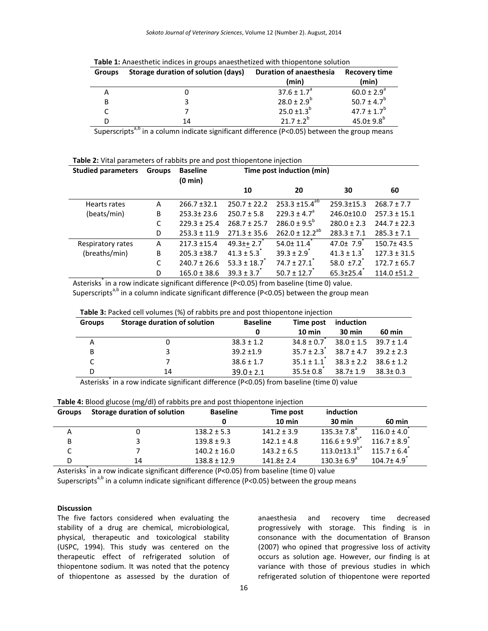| <b>Groups</b> | Storage duration of solution (days) | <b>Duration of anaesthesia</b> | Recovery time               |  |
|---------------|-------------------------------------|--------------------------------|-----------------------------|--|
|               |                                     | (min)                          | (min)                       |  |
| Α             |                                     | $37.6 \pm 1.7^a$               | $60.0 \pm 2.9^{\circ}$      |  |
| B             |                                     | $28.0 \pm 2.9^b$               | 50.7 ± 4.7 <sup>b</sup>     |  |
|               |                                     | $25.0 \pm 1.3^b$               | $47.7 \pm 1.7^b$            |  |
| D             | 14                                  | $21.7 \pm .2^{b}$              | $45.0 \pm 9.8$ <sup>b</sup> |  |

Superscripts<sup>a,b</sup> in a column indicate significant difference (P<0.05) between the group means

|  |  |  |  | Table 2: Vital parameters of rabbits pre and post thiopentone injection |
|--|--|--|--|-------------------------------------------------------------------------|
|--|--|--|--|-------------------------------------------------------------------------|

| <b>Studied parameters</b> | <b>Groups</b> | <b>Baseline</b><br>$(0 \text{ min})$ |                  | Time post induction (min)        |                  |                  |
|---------------------------|---------------|--------------------------------------|------------------|----------------------------------|------------------|------------------|
|                           |               |                                      | 10               | 20                               | 30               | 60               |
| Hearts rates              | A             | $266.7 \pm 32.1$                     | $250.7 \pm 22.2$ | $253.3 \pm 15.4^{\overline{a}5}$ | $259.3 \pm 15.3$ | $268.7 \pm 7.7$  |
| (beats/min)               | B             | $253.3 \pm 23.6$                     | $250.7 \pm 5.8$  | $229.3 \pm 4.7^{\circ}$          | $246.0 \pm 10.0$ | $257.3 \pm 15.1$ |
|                           |               | $229.3 \pm 25.4$                     | $268.7 \pm 25.7$ | $286.0 \pm 9.5^{\circ}$          | $280.0 \pm 2.3$  | $244.7 \pm 22.3$ |
|                           | D             | $253.3 \pm 11.9$                     | $271.3 \pm 35.6$ | $262.0 \pm 12.2^{ab}$            | $283.3 \pm 7.1$  | $285.3 \pm 7.1$  |
| Respiratory rates         | A             | $217.3 \pm 15.4$                     | $49.3 + 2.7$     | 54.0±11.4                        | $47.0 \pm 7.9$   | $150.7 \pm 43.5$ |
| (breaths/min)             | B             | $205.3 \pm 38.7$                     | $41.3 \pm 5.3$   | $39.3 \pm 2.9$                   | $41.3 \pm 1.3$   | $127.3 \pm 31.5$ |
|                           |               | $240.7 \pm 26.6$                     | $53.3 \pm 18.7$  | $74.7 \pm 27.1$                  | $58.0 + 7.2$     | $172.7 \pm 65.7$ |
|                           | D             | $165.0 \pm 38.6$                     | $39.3 \pm 3.7$   | $50.7 \pm 12.7$                  | $65.3 \pm 25.4$  | $114.0 \pm 51.2$ |

Asterisks\* in a row indicate significant difference (P<0.05) from baseline (time 0) value. Superscripts<sup>a,b</sup> in a column indicate significant difference (P<0.05) between the group mean

| Table 3: Packed cell volumes (%) of rabbits pre and post thiopentone injection |  |
|--------------------------------------------------------------------------------|--|
|                                                                                |  |

| <b>Groups</b> | Storage duration of solution | <b>Baseline</b><br>Time post |                  | induction        |                               |
|---------------|------------------------------|------------------------------|------------------|------------------|-------------------------------|
|               |                              | 0                            | $10 \text{ min}$ | $30 \text{ min}$ | <b>60 min</b>                 |
| А             |                              | $38.3 \pm 1.2$               | $34.8 \pm 0.7$   |                  | $38.0 \pm 1.5$ $39.7 \pm 1.4$ |
| B             |                              | $39.2 \pm 1.9$               | $35.7 \pm 2.3$   | $38.7 + 4.7$     | $39.2 + 2.3$                  |
|               |                              | $38.6 \pm 1.7$               | $35.1 \pm 1.1$   | $38.3 \pm 2.2$   | $38.6 \pm 1.2$                |
| D             | 14                           | $39.0 \pm 2.1$               | $35.5 \pm 0.8$   | $38.7 \pm 1.9$   | $38.3 \pm 0.3$                |

Asterisks<sup>\*</sup> in a row indicate significant difference (P<0.05) from baseline (time 0) value

|  |  |  |  | Table 4: Blood glucose (mg/dl) of rabbits pre and post thiopentone injection |  |
|--|--|--|--|------------------------------------------------------------------------------|--|
|  |  |  |  |                                                                              |  |

| <b>Groups</b> | Storage duration of solution | <b>Baseline</b>  | Time post        | induction                    |                 |
|---------------|------------------------------|------------------|------------------|------------------------------|-----------------|
|               |                              |                  | $10 \text{ min}$ | $30 \text{ min}$             | 60 min          |
| А             |                              | $138.2 \pm 5.3$  | $141.2 \pm 3.9$  | $135.3 \pm 7.8$ <sup>a</sup> | $116.0 \pm 4.0$ |
| B             |                              | $139.8 \pm 9.3$  | $142.1 \pm 4.8$  | $116.6 \pm 9.9^{b*}$         | $116.7 + 8.9$   |
| ◡             |                              | $140.2 \pm 16.0$ | $143.2 \pm 6.5$  | $113.0 \pm 13.1^{b*}$        | $115.7 \pm 6.4$ |
| D             | 14                           | $138.8 \pm 12.9$ | $141.8 \pm 2.4$  | $130.3 \pm 6.9^{\circ}$      | $104.7 \pm 4.9$ |

Asterisks<sup>\*</sup> in a row indicate significant difference (P<0.05) from baseline (time 0) value

Superscripts<sup>a,b</sup> in a column indicate significant difference (P<0.05) between the group means

#### **Discussion**

The five factors considered when evaluating the stability of a drug are chemical, microbiological, physical, therapeutic and toxicological stability (USPC, 1994). This study was centered on the therapeutic effect of refrigerated solution of thiopentone sodium. It was noted that the potency of thiopentone as assessed by the duration of

anaesthesia and recovery time decreased progressively with storage. This finding is in consonance with the documentation of Branson (2007) who opined that progressive loss of activity occurs as solution age. However, our finding is at variance with those of previous studies in which refrigerated solution of thiopentone were reported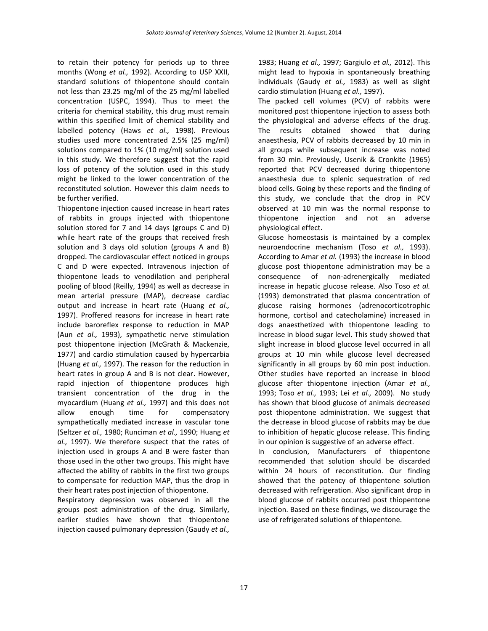to retain their potency for periods up to three months (Wong *et al.,* 1992). According to USP XXII, standard solutions of thiopentone should contain not less than 23.25 mg/ml of the 25 mg/ml labelled concentration (USPC, 1994). Thus to meet the criteria for chemical stability, this drug must remain within this specified limit of chemical stability and labelled potency (Haws *et al.,* 1998). Previous studies used more concentrated 2.5% (25 mg/ml) solutions compared to 1% (10 mg/ml) solution used in this study. We therefore suggest that the rapid loss of potency of the solution used in this study might be linked to the lower concentration of the reconstituted solution. However this claim needs to be further verified.

Thiopentone injection caused increase in heart rates of rabbits in groups injected with thiopentone solution stored for 7 and 14 days (groups C and D) while heart rate of the groups that received fresh solution and 3 days old solution (groups A and B) dropped. The cardiovascular effect noticed in groups C and D were expected. Intravenous injection of thiopentone leads to venodilation and peripheral pooling of blood (Reilly, 1994) as well as decrease in mean arterial pressure (MAP), decrease cardiac output and increase in heart rate (Huang *et al.,* 1997). Proffered reasons for increase in heart rate include baroreflex response to reduction in MAP (Aun *et al.,* 1993), sympathetic nerve stimulation post thiopentone injection (McGrath & Mackenzie, 1977) and cardio stimulation caused by hypercarbia (Huang *et al.,* 1997). The reason for the reduction in heart rates in group A and B is not clear. However, rapid injection of thiopentone produces high transient concentration of the drug in the myocardium (Huang *et al.,* 1997) and this does not allow enough time for compensatory sympathetically mediated increase in vascular tone (Seltzer *et al.,* 1980; Runciman *et al.,* 1990; Huang *et al.,* 1997). We therefore suspect that the rates of injection used in groups A and B were faster than those used in the other two groups. This might have affected the ability of rabbits in the first two groups to compensate for reduction MAP, thus the drop in their heart rates post injection of thiopentone.

Respiratory depression was observed in all the groups post administration of the drug. Similarly, earlier studies have shown that thiopentone injection caused pulmonary depression (Gaudy *et al.,*

1983; Huang *et al.,* 1997; Gargiulo *et al.,* 2012). This might lead to hypoxia in spontaneously breathing individuals (Gaudy *et al.,* 1983) as well as slight cardio stimulation (Huang *et al.,* 1997).

The packed cell volumes (PCV) of rabbits were monitored post thiopentone injection to assess both the physiological and adverse effects of the drug. The results obtained showed that during anaesthesia, PCV of rabbits decreased by 10 min in all groups while subsequent increase was noted from 30 min. Previously, Usenik & Cronkite (1965) reported that PCV decreased during thiopentone anaesthesia due to splenic sequestration of red blood cells. Going by these reports and the finding of this study, we conclude that the drop in PCV observed at 10 min was the normal response to thiopentone injection and not an adverse physiological effect.

Glucose homeostasis is maintained by a complex neuroendocrine mechanism (Toso *et al.,* 1993). According to Amar *et al.* (1993) the increase in blood glucose post thiopentone administration may be a consequence of non-adrenergically mediated increase in hepatic glucose release. Also Toso *et al.* (1993) demonstrated that plasma concentration of glucose raising hormones (adrenocorticotrophic hormone, cortisol and catecholamine) increased in dogs anaesthetized with thiopentone leading to increase in blood sugar level. This study showed that slight increase in blood glucose level occurred in all groups at 10 min while glucose level decreased significantly in all groups by 60 min post induction. Other studies have reported an increase in blood glucose after thiopentone injection (Amar *et al.,* 1993; Toso *et al.,* 1993; Lei *et al.,* 2009). No study has shown that blood glucose of animals decreased post thiopentone administration. We suggest that the decrease in blood glucose of rabbits may be due to inhibition of hepatic glucose release. This finding in our opinion is suggestive of an adverse effect.

In conclusion, Manufacturers of thiopentone recommended that solution should be discarded within 24 hours of reconstitution. Our finding showed that the potency of thiopentone solution decreased with refrigeration. Also significant drop in blood glucose of rabbits occurred post thiopentone injection. Based on these findings, we discourage the use of refrigerated solutions of thiopentone.